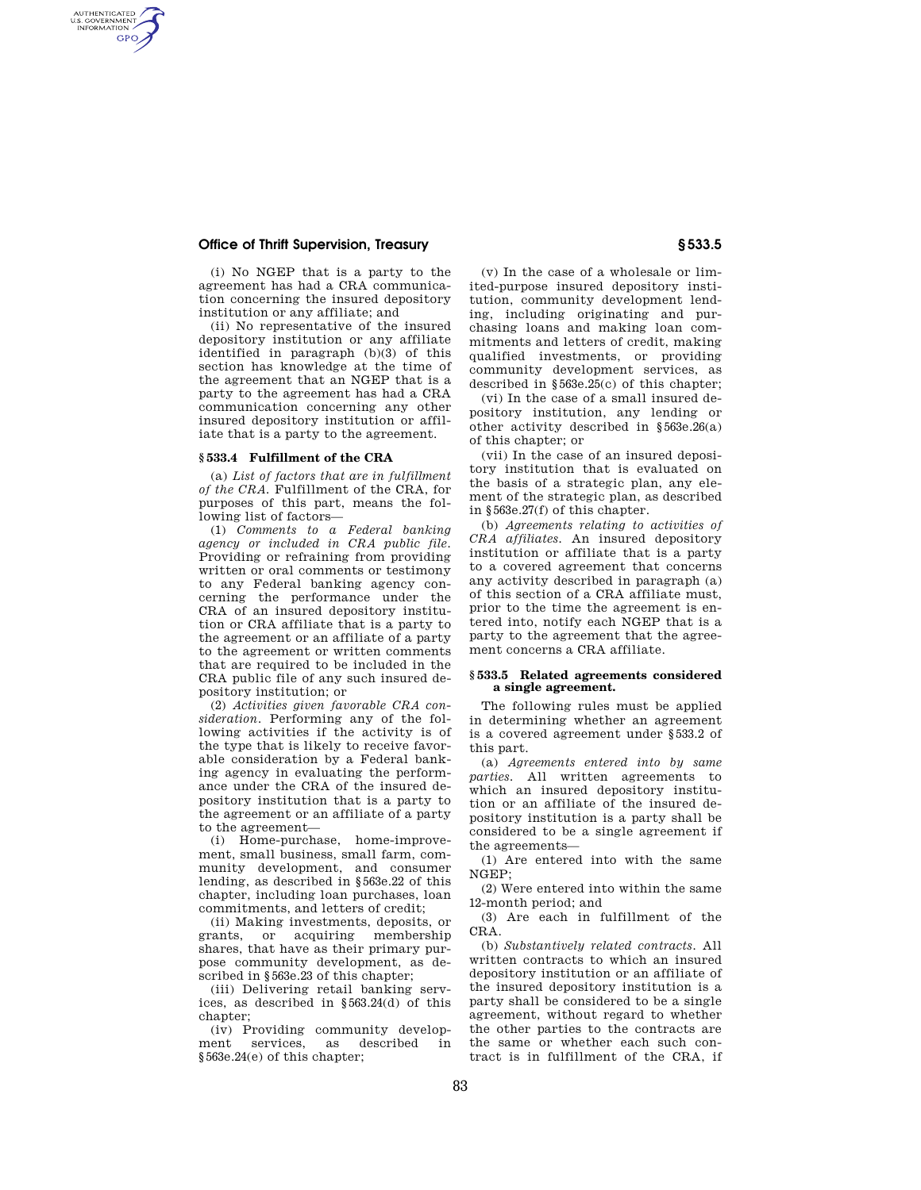## **Office of Thrift Supervision, Treasury § 533.5**

AUTHENTICATED<br>U.S. GOVERNMENT<br>INFORMATION **GPO** 

> (i) No NGEP that is a party to the agreement has had a CRA communication concerning the insured depository institution or any affiliate; and

> (ii) No representative of the insured depository institution or any affiliate identified in paragraph (b)(3) of this section has knowledge at the time of the agreement that an NGEP that is a party to the agreement has had a CRA communication concerning any other insured depository institution or affiliate that is a party to the agreement.

## **§ 533.4 Fulfillment of the CRA**

(a) *List of factors that are in fulfillment of the CRA.* Fulfillment of the CRA, for purposes of this part, means the following list of factors—

(1) *Comments to a Federal banking agency or included in CRA public file.*  Providing or refraining from providing written or oral comments or testimony to any Federal banking agency concerning the performance under the CRA of an insured depository institution or CRA affiliate that is a party to the agreement or an affiliate of a party to the agreement or written comments that are required to be included in the CRA public file of any such insured depository institution; or

(2) *Activities given favorable CRA consideration.* Performing any of the following activities if the activity is of the type that is likely to receive favorable consideration by a Federal banking agency in evaluating the performance under the CRA of the insured depository institution that is a party to the agreement or an affiliate of a party to the agreement—

(i) Home-purchase, home-improvement, small business, small farm, community development, and consumer lending, as described in §563e.22 of this chapter, including loan purchases, loan commitments, and letters of credit;

(ii) Making investments, deposits, or grants, or acquiring membership shares, that have as their primary purpose community development, as described in §563e.23 of this chapter;

(iii) Delivering retail banking services, as described in §563.24(d) of this chapter;

(iv) Providing community development services, as described §563e.24(e) of this chapter;

(v) In the case of a wholesale or limited-purpose insured depository institution, community development lending, including originating and purchasing loans and making loan commitments and letters of credit, making qualified investments, or providing community development services, as described in §563e.25(c) of this chapter;

(vi) In the case of a small insured depository institution, any lending or other activity described in §563e.26(a) of this chapter; or

(vii) In the case of an insured depository institution that is evaluated on the basis of a strategic plan, any element of the strategic plan, as described in §563e.27(f) of this chapter.

(b) *Agreements relating to activities of CRA affiliates.* An insured depository institution or affiliate that is a party to a covered agreement that concerns any activity described in paragraph (a) of this section of a CRA affiliate must, prior to the time the agreement is entered into, notify each NGEP that is a party to the agreement that the agreement concerns a CRA affiliate.

## **§ 533.5 Related agreements considered a single agreement.**

The following rules must be applied in determining whether an agreement is a covered agreement under §533.2 of this part.

(a) *Agreements entered into by same parties.* All written agreements to which an insured depository institution or an affiliate of the insured depository institution is a party shall be considered to be a single agreement if the agreements—

(1) Are entered into with the same NGEP;

(2) Were entered into within the same 12-month period; and

(3) Are each in fulfillment of the CRA.

(b) *Substantively related contracts.* All written contracts to which an insured depository institution or an affiliate of the insured depository institution is a party shall be considered to be a single agreement, without regard to whether the other parties to the contracts are the same or whether each such contract is in fulfillment of the CRA, if